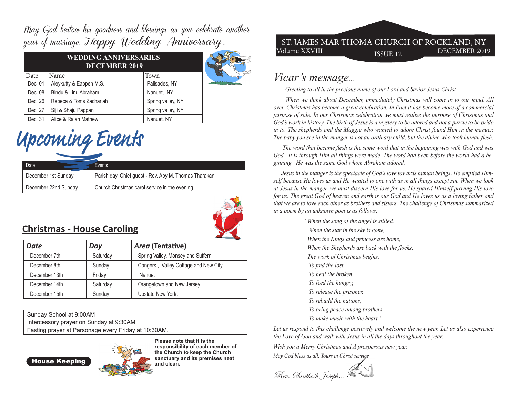May God bestow his goodness and blessings as you celebrate another year of marriage. Happy Wedding Anniversary...

| <b>WEDDING ANNIVERSARIES</b><br><b>DECEMBER 2019</b> |                         |                   |  |
|------------------------------------------------------|-------------------------|-------------------|--|
| Date                                                 | Name                    | Town              |  |
| Dec 01                                               | Aleykutty & Eappen M.S. | Palisades, NY     |  |
| Dec 08                                               | Bindu & Linu Abraham    | Nanuet, NY        |  |
| Dec 26                                               | Rebeca & Toms Zachariah | Spring valley, NY |  |
| Dec 27                                               | Siji & Shaju Pappan     | Spring valley, NY |  |
| Dec 31                                               | Alice & Rajan Mathew    | Nanuet, NY        |  |

## Upcoming Events

| Date                 | Events                                                |
|----------------------|-------------------------------------------------------|
| December 1st Sunday  | Parish day. Chief quest - Rev. Aby M. Thomas Tharakan |
| December 22nd Sunday | Church Christmas carol service in the evening.        |



## **Christmas - House Caroling**

| <b>Date</b>   | Day      | Area (Tentative)                     |
|---------------|----------|--------------------------------------|
| December 7th  | Saturday | Spring Valley, Monsey and Suffern    |
| December 8th  | Sunday   | Congers, Valley Cottage and New City |
| December 13th | Friday   | Nanuet                               |
| December 14th | Saturday | Orangetown and New Jersey.           |
| December 15th | Sunday   | Upstate New York.                    |

Sunday School at 9:00AM Intercessory prayer on Sunday at 9:30AM Fasting prayer at Parsonage every Friday at 10:30AM.

House Keeping



**Please note that it is the responsibility of each member of the Church to keep the Church sanctuary and its premises neat and clean.** 

Volume XXVIII ISSUE 12 DECEMBER 2019 ST. JAMES MAR THOMA CHURCH OF ROCKLAND, NY

## *Vicar's message...*

 *Greeting to all in the precious name of our Lord and Savior Jesus Christ*

 *When we think about December, immediately Christmas will come in to our mind. All over, Christmas has become a great celebration. In Fact it has become more of a commercial purpose of sale. In our Christmas celebration we must realize the purpose of Christmas and God's work in history. The birth of Jesus is a mystery to be adored and not a puzzle to be pride in to. The shepherds and the Maggie who wanted to adore Christ found Him in the manger. The baby you see in the manger is not an ordinary child, but the divine who took human flesh.* 

 *The word that became flesh is the same word that in the beginning was with God and was God. It is through Him all things were made. The word had been before the world had a beginning. He was the same God whom Abraham adored.* 

 *Jesus in the manger is the spectacle of God's love towards human beings. He emptied Himself because He loves us and He wanted to one with us in all things except sin. When we look at Jesus in the manger, we must discern His love for us. He spared Himself proving His love for us. The great God of heaven and earth is our God and He loves us as a loving father and that we are to love each other as brothers and sisters. The challenge of Christmas summarized in a poem by an unknown poet is as follows:* 

> *"When the song of the angel is stilled, When the star in the sky is gone, When the Kings and princess are home, When the Shepherds are back with the flocks, The work of Christmas begins; To find the lost, To heal the broken, To feed the hungry, To release the prisoner, To rebuild the nations, To bring peace among brothers, To make music with the heart ".*

*Let us respond to this challenge positively and welcome the new year. Let us also experience the Love of God and walk with Jesus in all the days throughout the year.* 

*Wish you a Merry Christmas and A prosperous new year. May God bless us all, Yours in Christ service*

Rev. Santhosh, Joseph...